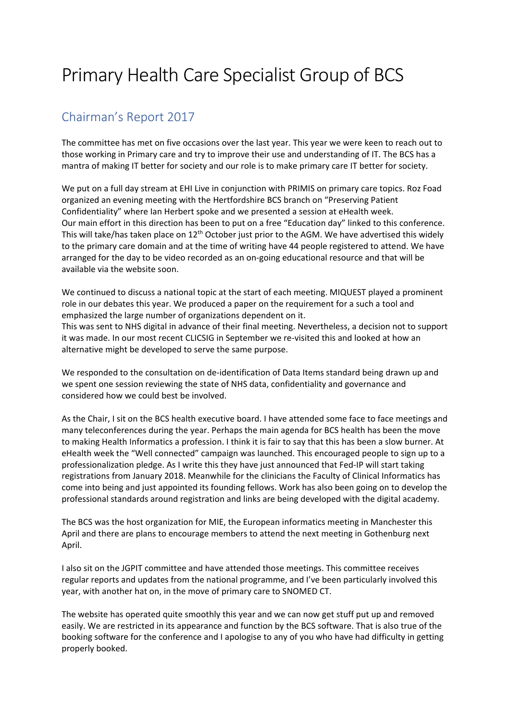## Primary Health Care Specialist Group of BCS

## Chairman's Report 2017

The committee has met on five occasions over the last year. This year we were keen to reach out to those working in Primary care and try to improve their use and understanding of IT. The BCS has a mantra of making IT better for society and our role is to make primary care IT better for society.

We put on a full day stream at EHI Live in conjunction with PRIMIS on primary care topics. Roz Foad organized an evening meeting with the Hertfordshire BCS branch on "Preserving Patient Confidentiality" where Ian Herbert spoke and we presented a session at eHealth week. Our main effort in this direction has been to put on a free "Education day" linked to this conference. This will take/has taken place on 12<sup>th</sup> October just prior to the AGM. We have advertised this widely to the primary care domain and at the time of writing have 44 people registered to attend. We have arranged for the day to be video recorded as an on-going educational resource and that will be available via the website soon.

We continued to discuss a national topic at the start of each meeting. MIQUEST played a prominent role in our debates this year. We produced a paper on the requirement for a such a tool and emphasized the large number of organizations dependent on it.

This was sent to NHS digital in advance of their final meeting. Nevertheless, a decision not to support it was made. In our most recent CLICSIG in September we re-visited this and looked at how an alternative might be developed to serve the same purpose.

We responded to the consultation on de-identification of Data Items standard being drawn up and we spent one session reviewing the state of NHS data, confidentiality and governance and considered how we could best be involved.

As the Chair, I sit on the BCS health executive board. I have attended some face to face meetings and many teleconferences during the year. Perhaps the main agenda for BCS health has been the move to making Health Informatics a profession. I think it is fair to say that this has been a slow burner. At eHealth week the "Well connected" campaign was launched. This encouraged people to sign up to a professionalization pledge. As I write this they have just announced that Fed-IP will start taking registrations from January 2018. Meanwhile for the clinicians the Faculty of Clinical Informatics has come into being and just appointed its founding fellows. Work has also been going on to develop the professional standards around registration and links are being developed with the digital academy.

The BCS was the host organization for MIE, the European informatics meeting in Manchester this April and there are plans to encourage members to attend the next meeting in Gothenburg next April.

I also sit on the JGPIT committee and have attended those meetings. This committee receives regular reports and updates from the national programme, and I've been particularly involved this year, with another hat on, in the move of primary care to SNOMED CT.

The website has operated quite smoothly this year and we can now get stuff put up and removed easily. We are restricted in its appearance and function by the BCS software. That is also true of the booking software for the conference and I apologise to any of you who have had difficulty in getting properly booked.